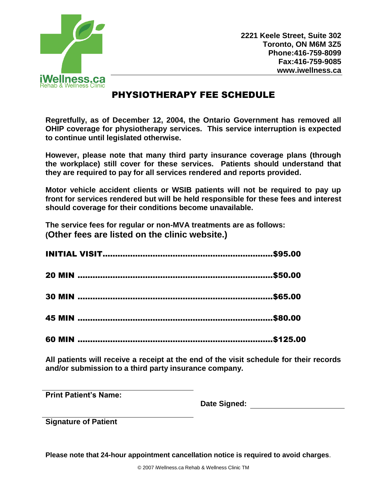

**2221 Keele Street, Suite 302 Toronto, ON M6M 3Z5 Phone:416-759-8099 Fax:416-759-9085 www.iwellness.ca**

## PHYSIOTHERAPY FEE SCHEDULE

**Regretfully, as of December 12, 2004, the Ontario Government has removed all OHIP coverage for physiotherapy services. This service interruption is expected to continue until legislated otherwise.** 

**However, please note that many third party insurance coverage plans (through the workplace) still cover for these services. Patients should understand that they are required to pay for all services rendered and reports provided.** 

**Motor vehicle accident clients or WSIB patients will not be required to pay up front for services rendered but will be held responsible for these fees and interest should coverage for their conditions become unavailable.** 

**The service fees for regular or non-MVA treatments are as follows: (Other fees are listed on the clinic website.)**

**All patients will receive a receipt at the end of the visit schedule for their records and/or submission to a third party insurance company.** 

**Print Patient's Name:** 

**Date Signed:** 

**Signature of Patient** 

**Please note that 24-hour appointment cancellation notice is required to avoid charges**.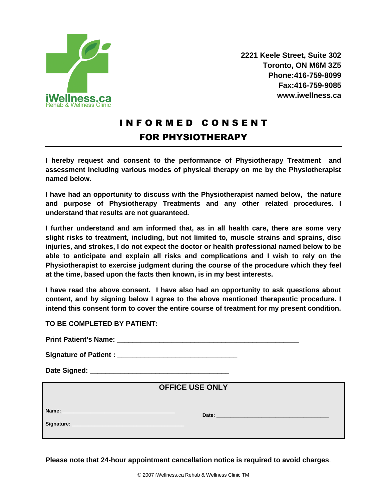

**2221 Keele Street, Suite 302 Toronto, ON M6M 3Z5 Phone:416-759-8099 Fax:416-759-9085 www.iwellness.ca**

## I N F O R M E D C O N S E N T FOR PHYSIOTHERAPY

**I hereby request and consent to the performance of Physiotherapy Treatment and assessment including various modes of physical therapy on me by the Physiotherapist named below.**

**I have had an opportunity to discuss with the Physiotherapist named below, the nature and purpose of Physiotherapy Treatments and any other related procedures. I understand that results are not guaranteed.** 

**I further understand and am informed that, as in all health care, there are some very slight risks to treatment, including, but not limited to, muscle strains and sprains, disc injuries, and strokes, I do not expect the doctor or health professional named below to be able to anticipate and explain all risks and complications and I wish to rely on the Physiotherapist to exercise judgment during the course of the procedure which they feel at the time, based upon the facts then known, is in my best interests.** 

**I have read the above consent. I have also had an opportunity to ask questions about content, and by signing below I agree to the above mentioned therapeutic procedure. I intend this consent form to cover the entire course of treatment for my present condition.** 

**TO BE COMPLETED BY PATIENT:** 

| <b>Print Patient's Name:</b> |  |
|------------------------------|--|
|                              |  |

| <b>Signature of Patient:</b> |  |
|------------------------------|--|
|------------------------------|--|

**Date Signed: \_\_\_\_\_\_\_\_\_\_\_\_\_\_\_\_\_\_\_\_\_\_\_\_\_\_\_\_\_\_\_\_\_\_\_\_**

## **OFFICE USE ONLY**

**Name: \_\_\_\_\_\_\_\_\_\_\_\_\_\_\_\_\_\_\_\_\_\_\_\_\_\_\_\_\_\_\_\_\_\_\_\_\_\_\_\_**

 **Date: \_\_\_\_\_\_\_\_\_\_\_\_\_\_\_\_\_\_\_\_\_\_\_\_\_\_\_\_\_\_\_\_\_\_\_\_\_\_\_\_**

**Signature:** *Complete and <b>Complete*  $\sim$ 

**Please note that 24-hour appointment cancellation notice is required to avoid charges**.